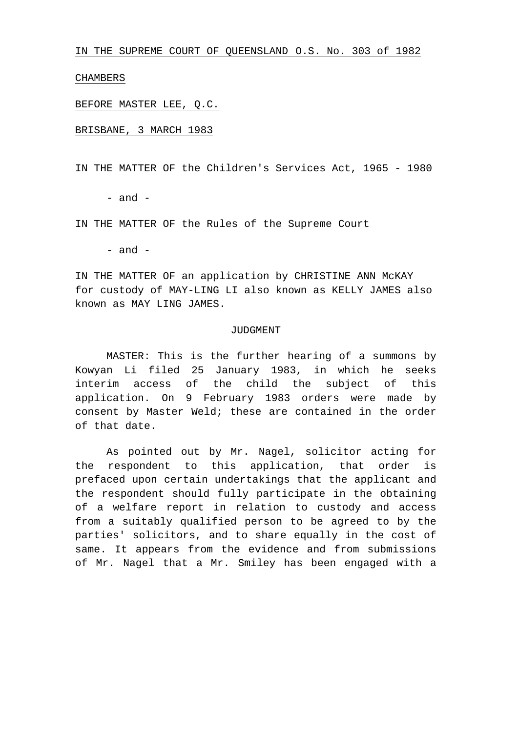IN THE SUPREME COURT OF QUEENSLAND O.S. No. 303 of 1982

CHAMBERS

BEFORE MASTER LEE, Q.C.

BRISBANE, 3 MARCH 1983

IN THE MATTER OF the Children's Services Act, 1965 - 1980

 $-$  and  $-$ 

IN THE MATTER OF the Rules of the Supreme Court

- and -

IN THE MATTER OF an application by CHRISTINE ANN McKAY for custody of MAY-LING LI also known as KELLY JAMES also known as MAY LING JAMES.

## JUDGMENT

MASTER: This is the further hearing of a summons by Kowyan Li filed 25 January 1983, in which he seeks interim access of the child the subject of this application. On 9 February 1983 orders were made by consent by Master Weld; these are contained in the order of that date.

As pointed out by Mr. Nagel, solicitor acting for the respondent to this application, that order is prefaced upon certain undertakings that the applicant and the respondent should fully participate in the obtaining of a welfare report in relation to custody and access from a suitably qualified person to be agreed to by the parties' solicitors, and to share equally in the cost of same. It appears from the evidence and from submissions of Mr. Nagel that a Mr. Smiley has been engaged with a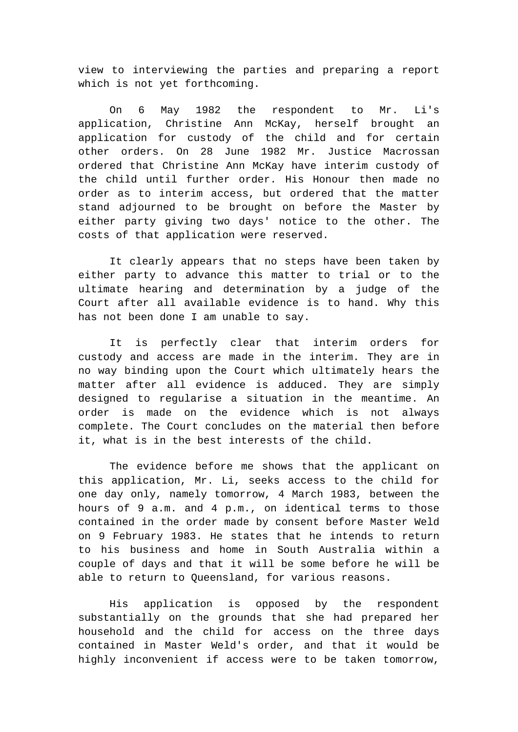view to interviewing the parties and preparing a report which is not yet forthcoming.

On 6 May 1982 the respondent to Mr. Li's application, Christine Ann McKay, herself brought an application for custody of the child and for certain other orders. On 28 June 1982 Mr. Justice Macrossan ordered that Christine Ann McKay have interim custody of the child until further order. His Honour then made no order as to interim access, but ordered that the matter stand adjourned to be brought on before the Master by either party giving two days' notice to the other. The costs of that application were reserved.

It clearly appears that no steps have been taken by either party to advance this matter to trial or to the ultimate hearing and determination by a judge of the Court after all available evidence is to hand. Why this has not been done I am unable to say.

It is perfectly clear that interim orders for custody and access are made in the interim. They are in no way binding upon the Court which ultimately hears the matter after all evidence is adduced. They are simply designed to regularise a situation in the meantime. An order is made on the evidence which is not always complete. The Court concludes on the material then before it, what is in the best interests of the child.

The evidence before me shows that the applicant on this application, Mr. Li, seeks access to the child for one day only, namely tomorrow, 4 March 1983, between the hours of 9 a.m. and 4 p.m., on identical terms to those contained in the order made by consent before Master Weld on 9 February 1983. He states that he intends to return to his business and home in South Australia within a couple of days and that it will be some before he will be able to return to Queensland, for various reasons.

His application is opposed by the respondent substantially on the grounds that she had prepared her household and the child for access on the three days contained in Master Weld's order, and that it would be highly inconvenient if access were to be taken tomorrow,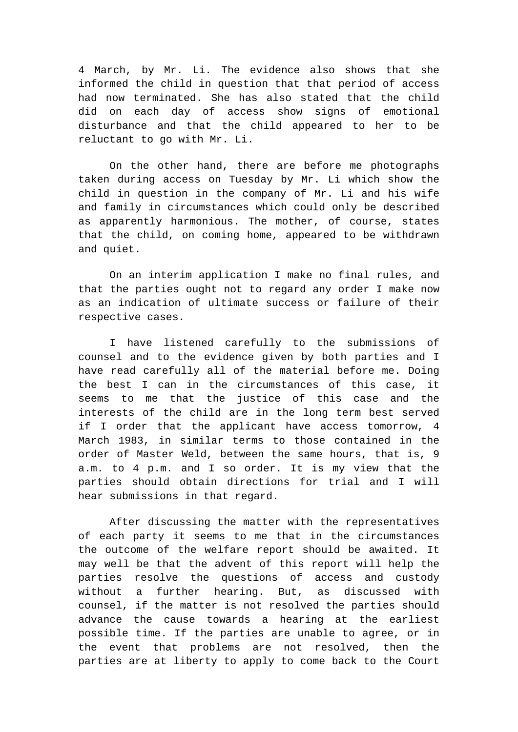4 March, by Mr. Li. The evidence also shows that she informed the child in question that that period of access had now terminated. She has also stated that the child did on each day of access show signs of emotional disturbance and that the child appeared to her to be reluctant to go with Mr. Li.

On the other hand, there are before me photographs taken during access on Tuesday by Mr. Li which show the child in question in the company of Mr. Li and his wife and family in circumstances which could only be described as apparently harmonious. The mother, of course, states that the child, on coming home, appeared to be withdrawn and quiet.

On an interim application I make no final rules, and that the parties ought not to regard any order I make now as an indication of ultimate success or failure of their respective cases.

I have listened carefully to the submissions of counsel and to the evidence given by both parties and I have read carefully all of the material before me. Doing the best I can in the circumstances of this case, it seems to me that the justice of this case and the interests of the child are in the long term best served if I order that the applicant have access tomorrow, 4 March 1983, in similar terms to those contained in the order of Master Weld, between the same hours, that is, 9 a.m. to 4 p.m. and I so order. It is my view that the parties should obtain directions for trial and I will hear submissions in that regard.

After discussing the matter with the representatives of each party it seems to me that in the circumstances the outcome of the welfare report should be awaited. It may well be that the advent of this report will help the parties resolve the questions of access and custody without a further hearing. But, as discussed with counsel, if the matter is not resolved the parties should advance the cause towards a hearing at the earliest possible time. If the parties are unable to agree, or in the event that problems are not resolved, then the parties are at liberty to apply to come back to the Court